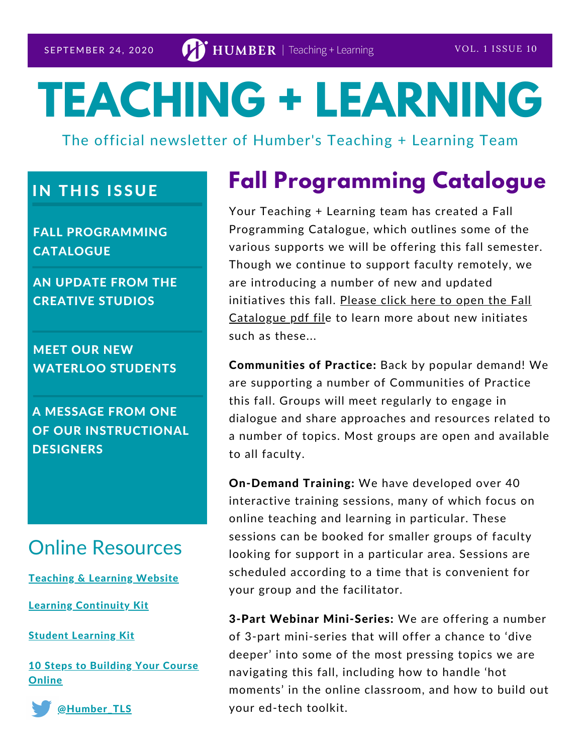# **TEACHING + LEARNING**

The official newsletter of Humber's Teaching + Learning Team

### **IN THIS ISSUE**

FALL PROGRAMMING **CATALOGUE** 

AN UPDATE FROM THE CREATIVE STUDIOS

MEET OUR NEW WATERLOO STUDENTS

A MESSAGE FROM ONE OF OUR INSTRUCTIONAL **DESIGNERS** 

### Online Resources

**[Teaching](https://humber.ca/teachingandlearning/) & Learning Website** 

Learning [Continuity](https://sites.google.com/view/learningcontinuitykit/home) Kit

**Student [Learning](https://sites.google.com/view/studentlearningkit) Kit** 

10 Steps to [Building](https://view.genial.ly/5e8ce13874dd8c0e246ef382) Your Course Online



### **Fall Programming Catalogue**

Your Teaching + Learning team has created a Fall Programming Catalogue, which outlines some of the various supports we will be offering this fall semester. Though we continue to support faculty remotely, we are introducing a number of new and updated initiatives this fall. Please click here to open the Fall [Catalogue](https://humber.ca/teachingandlearning/wp-content/uploads/2020/09/TL_fall-catalog-OUTPUT-3lr.pdf) pdf file to learn more about new initiates such as these...

Communities of Practice: Back by popular demand! We are supporting a number of Communities of Practice this fall. Groups will meet regularly to engage in dialogue and share approaches and resources related to a number of topics. Most groups are open and available to all faculty.

On-Demand Training: We have developed over 40 interactive training sessions, many of which focus on online teaching and learning in particular. These sessions can be booked for smaller groups of faculty looking for support in a particular area. Sessions are scheduled according to a time that is convenient for your group and the facilitator.

3-Part Webinar Mini-Series: We are offering a number of 3-part mini-series that will offer a chance to 'dive deeper' into some of the most pressing topics we are navigating this fall, including how to handle 'hot moments' in the online classroom, and how to build out your ed-tech toolkit.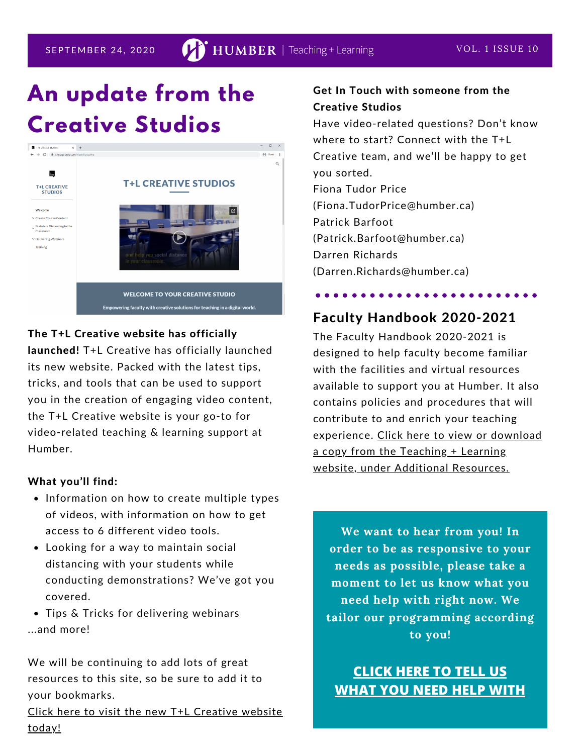## **An update from the Creative Studios**



#### The T+L Creative website has officially

launched! T+L Creative has officially launched its new website. Packed with the latest tips, tricks, and tools that can be used to support you in the creation of engaging video content, the T+L Creative website is your go-to for video-related teaching & learning support at Humber.

#### What you'll find:

- Information on how to create multiple types of videos, with information on how to get access to 6 different video tools.
- Looking for a way to maintain social distancing with your students while conducting demonstrations? We've got you covered.
- Tips & Tricks for delivering webinars ...and more!

We will be continuing to add lots of great resources to this site, so be sure to add it to your bookmarks.

Click here to visit the new T+L [Creative](https://sites.google.com/view/tlcreative) website today!

#### Get In Touch with someone from the Creative Studios

Have video-related questions? Don't know where to start? Connect with the T+L Creative team, and we'll be happy to get you sorted. Fiona Tudor Price (Fiona.TudorPrice@humber.ca) Patrick Barfoot (Patrick.Barfoot@humber.ca) Darren Richards (Darren.Richards@humber.ca)

### Faculty Handbook 2020-2021

. . . . . . . . . .

The Faculty Handbook 2020-2021 is designed to help faculty become familiar with the facilities and virtual resources available to support you at Humber. It also contains policies and procedures that will contribute to and enrich your teaching [experience.](https://humber.ca/teachingandlearning/wp-content/uploads/2020/08/Faculty-Handbook-2020-2021.pdf) Click here to view or download a copy from the Teaching + Learning website, under Additional Resources.

**We want to hear from you! In order to be as responsive to your needs as possible, please take a moment to let us know what you need help with right now. We tailor our programming according to you!**

**CLICK HERE TO TELL US [WHAT](https://forms.office.com/Pages/ResponsePage.aspx?id=HweSykLzx0CDhWmXpgUmzHV8J_SgUY9OuwXhM-meoV9UNkxVTktOMU8zRzZFWlY3TDVFVzZRSVhRVi4u) YOU NEED HELP WITH**